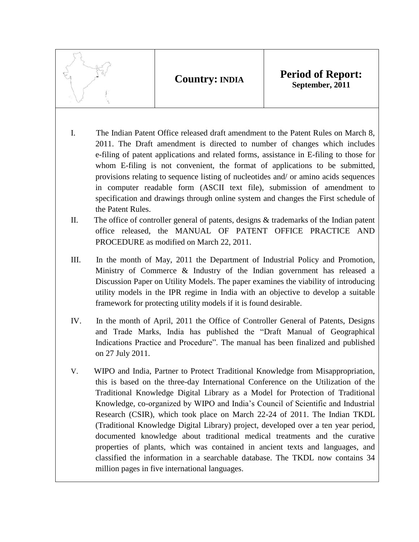**Country: INDIA Period of Report: September, 2011**

- I. The Indian Patent Office released draft amendment to the Patent Rules on March 8, 2011. The Draft amendment is directed to number of changes which includes e-filing of patent applications and related forms, assistance in E-filing to those for whom E-filing is not convenient, the format of applications to be submitted, provisions relating to sequence listing of nucleotides and/ or amino acids sequences in computer readable form (ASCII text file), submission of amendment to specification and drawings through online system and changes the First schedule of the Patent Rules.
- II. The office of controller general of patents, designs & trademarks of the Indian patent office released, the [MANUAL OF PATENT OFFICE PRACTICE AND](http://ipindia.nic.in/ipr/patent/manual/HTML%20AND%20PDF/Manual%20of%20Patent%20Office%20Practice%20and%20Procedure%20-%20html/Index.htm)  [PROCEDURE](http://ipindia.nic.in/ipr/patent/manual/HTML%20AND%20PDF/Manual%20of%20Patent%20Office%20Practice%20and%20Procedure%20-%20html/Index.htm) as modified on March 22, 2011.
- III. In the month of May, 2011 the Department of Industrial Policy and Promotion, Ministry of Commerce & Industry of the Indian government has released a Discussion Paper on Utility Models. The paper examines the viability of introducing utility models in the IPR regime in India with an objective to develop a suitable framework for protecting utility models if it is found desirable.
- IV. In the month of April, 2011 the Office of Controller General of Patents, Designs and Trade Marks, India has published the ["Draft Manual of Geographical](http://ipindia.nic.in/manuals/DraftManual_GI_PracticeProcedure_31March2011.pdf)  [Indications Practice and Procedure". T](http://ipindia.nic.in/manuals/DraftManual_GI_PracticeProcedure_31March2011.pdf)he manual has been finalized and published on 27 July 2011.
- V. WIPO and India, Partner to Protect Traditional Knowledge from Misappropriation, this is based on the three-day [International Conference on the Utilization of the](http://www.wipo.int/meetings/en/2011/wipo_tkdl_del_11/)  [Traditional Knowledge Digital Library as a Model for Protection of Traditional](http://www.wipo.int/meetings/en/2011/wipo_tkdl_del_11/)  [Knowledge,](http://www.wipo.int/meetings/en/2011/wipo_tkdl_del_11/) co-organized by WIPO and India's Council of Scientific and Industrial Research (CSIR), which took place on March 22-24 of 2011. The Indian TKDL (Traditional Knowledge Digital Library) project, developed over a ten year period, documented knowledge about traditional medical treatments and the curative properties of plants, which was contained in ancient texts and languages, and classified the information in a searchable database. The TKDL now contains 34 million pages in five international languages.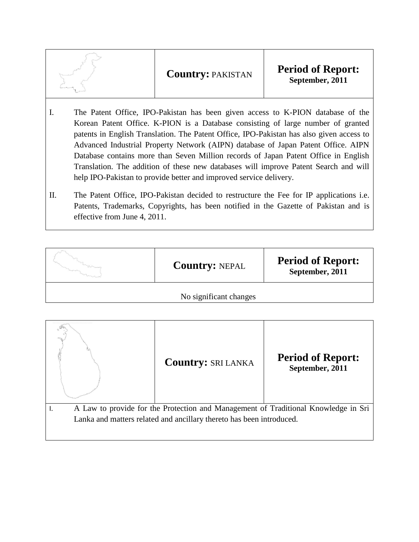| <b>Period of Report:</b><br><b>Country: PAKISTAN</b><br>September, 2011 |
|-------------------------------------------------------------------------|
|-------------------------------------------------------------------------|

- I. The Patent Office, IPO-Pakistan has been given access to K-PION database of the Korean Patent Office. K-PION is a Database consisting of large number of granted patents in English Translation. The Patent Office, IPO-Pakistan has also given access to Advanced Industrial Property Network (AIPN) database of Japan Patent Office. AIPN Database contains more than Seven Million records of Japan Patent Office in English Translation. The addition of these new databases will improve Patent Search and will help IPO-Pakistan to provide better and improved service delivery.
- II. The Patent Office, IPO-Pakistan decided to restructure the Fee for IP applications i.e. Patents, Trademarks, Copyrights, has been notified in the Gazette of Pakistan and is effective from June 4, 2011.